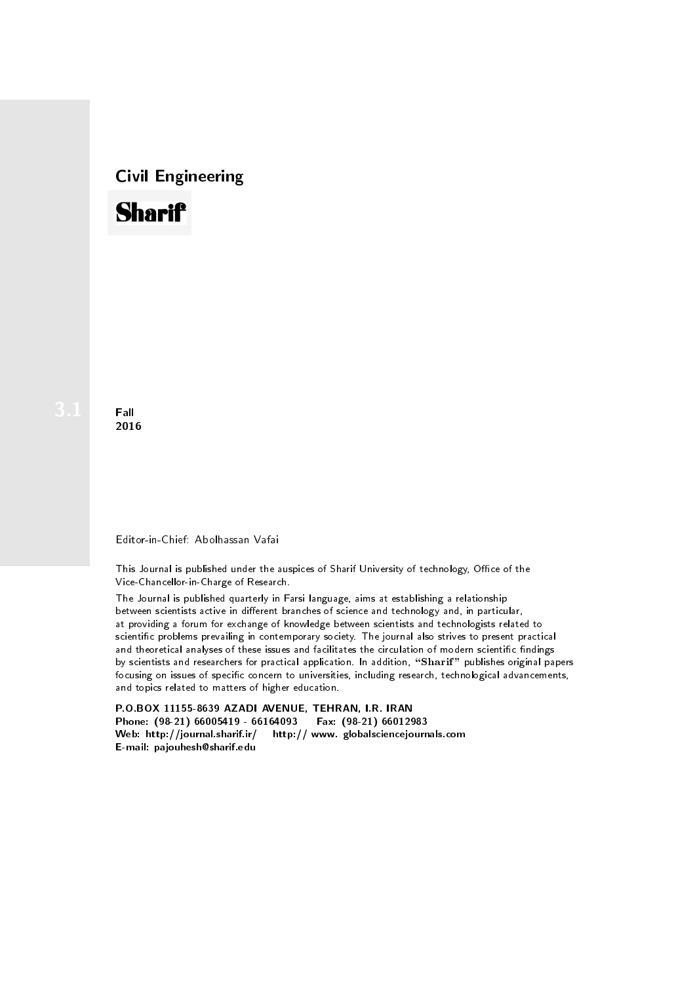# Civil Engineering



**Fall** 2016

#### Editor-in-Chief: Abolhassan Vafai

This Journal is published under the auspices of Sharif University of technology, Office of the Vice-Chancellor-in-Charge of Research.

The Journal is published quarterly in Farsi language, aims at establishing a relationship between scientists active in different branches of science and technology and, in particular, at providing a forum for exchange of knowledge between scientists and technologists related to scientic problems prevailing in contemporary society. The journal also strives to present practical and theoretical analyses of these issues and facilitates the circulation of modern scientific findings by scientists and researchers for practical application. In addition, "Sharif" publishes original papers focusing on issues of specific concern to universities, including research, technological advancements, and topics related to matters of higher education.

P.O.BOX 11155-8639 AZADI AVENUE, TEHRAN, I.R. IRAN Phone: (98-21) 66005419 - 66164093 Fax: (98-21) 66012983 Web: http://journal.sharif.ir/ http:// www. globalsciencejournals.com E-mail: pajouhesh@sharif.edu